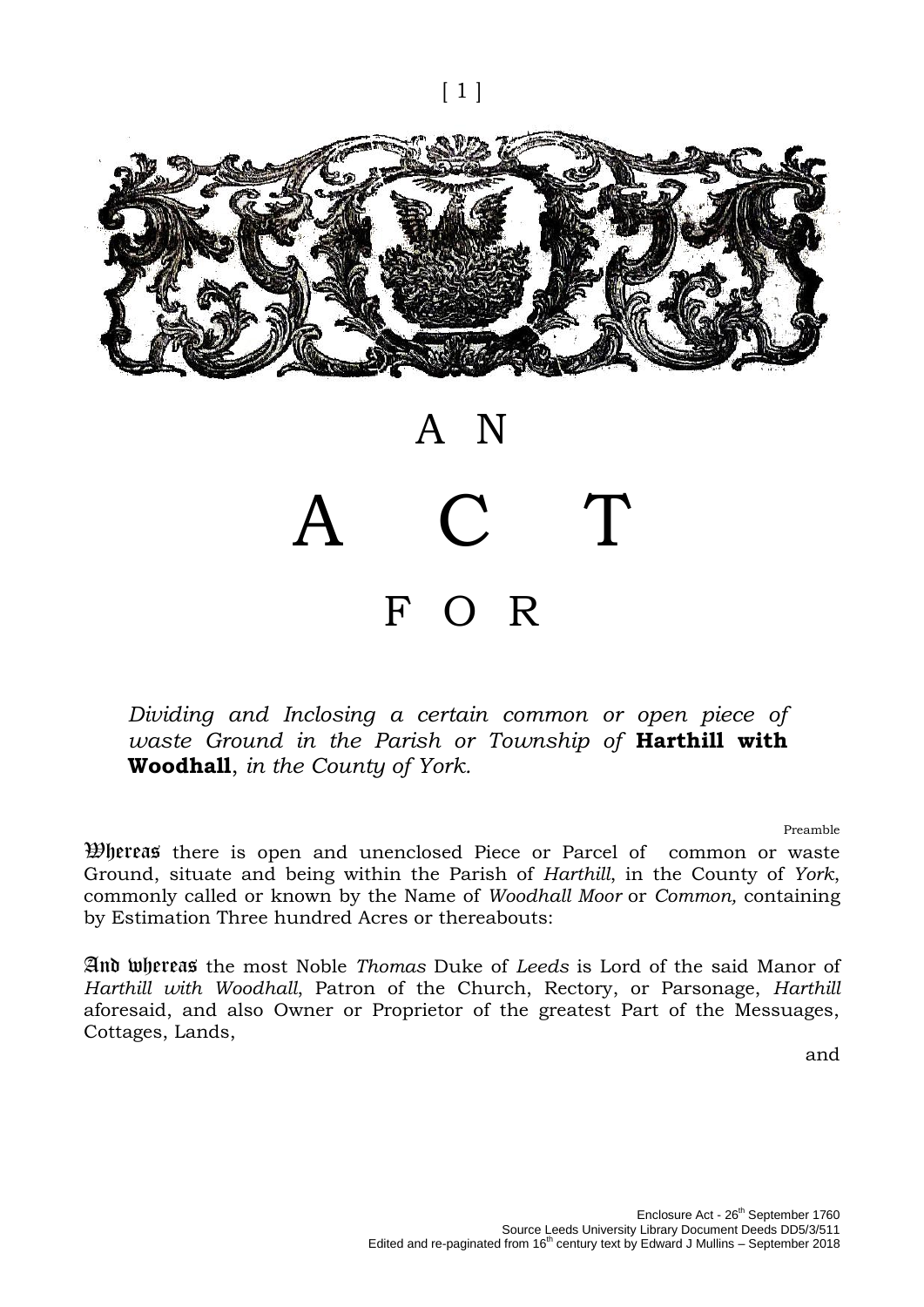[ 1 ]

# A N  $\overline{C}$ F O R

*Dividing and Inclosing a certain common or open piece of waste Ground in the Parish or Township of* **Harthill with Woodhall**, *in the County of York.*

Preamble

Whereas there is open and unenclosed Piece or Parcel of common or waste Ground, situate and being within the Parish of *Harthill*, in the County of *York*, commonly called or known by the Name of *Woodhall Moor* or *Common,* containing by Estimation Three hundred Acres or thereabouts:

And whereas the most Noble *Thomas* Duke of *Leeds* is Lord of the said Manor of *Harthill with Woodhall*, Patron of the Church, Rectory, or Parsonage, *Harthill* aforesaid, and also Owner or Proprietor of the greatest Part of the Messuages, Cottages, Lands,

and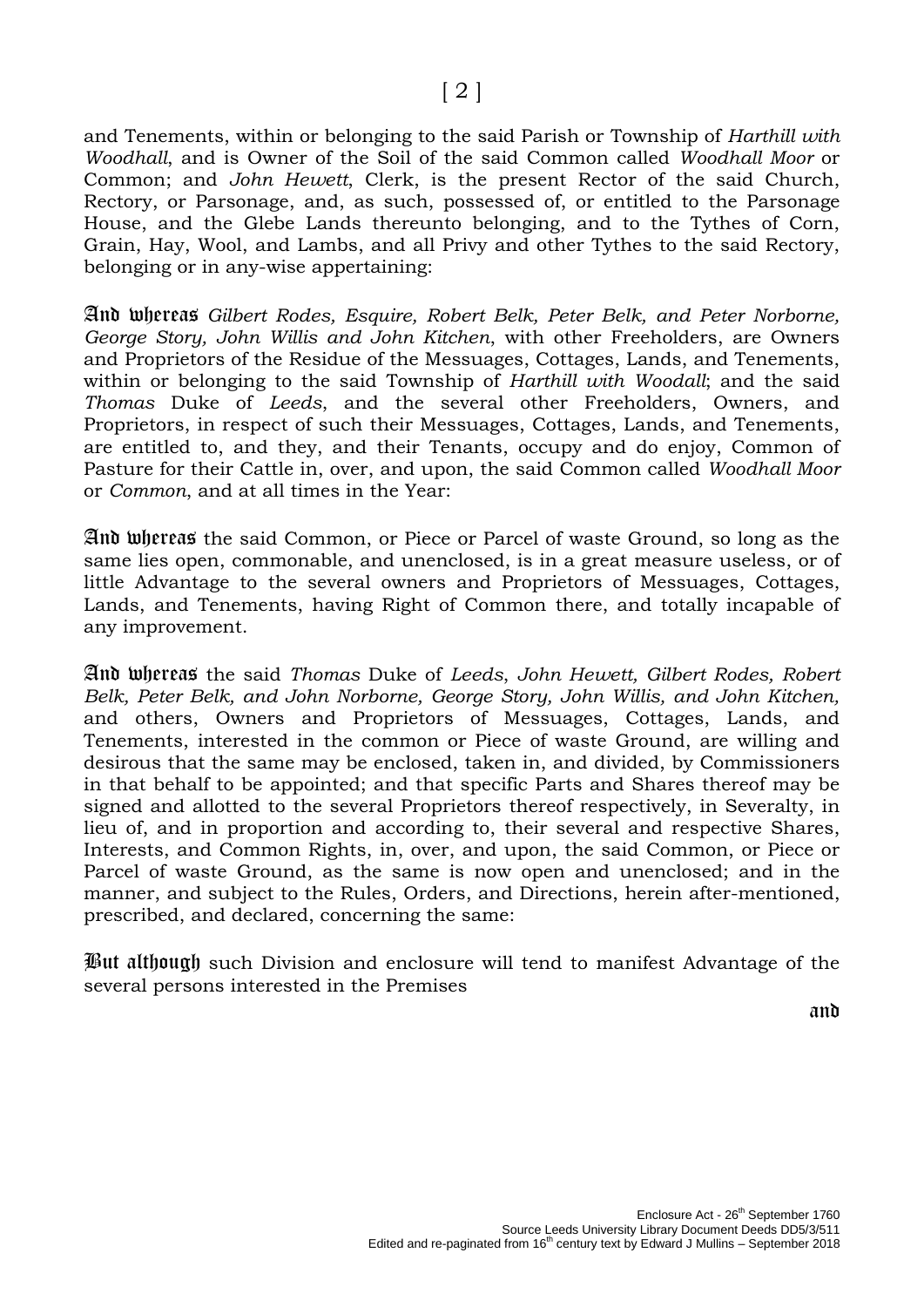and Tenements, within or belonging to the said Parish or Township of *Harthill with Woodhall*, and is Owner of the Soil of the said Common called *Woodhall Moor* or Common; and *John Hewett*, Clerk, is the present Rector of the said Church, Rectory, or Parsonage, and, as such, possessed of, or entitled to the Parsonage House, and the Glebe Lands thereunto belonging, and to the Tythes of Corn, Grain, Hay, Wool, and Lambs, and all Privy and other Tythes to the said Rectory, belonging or in any-wise appertaining:

And whereas *Gilbert Rodes, Esquire, Robert Belk, Peter Belk, and Peter Norborne, George Story, John Willis and John Kitchen*, with other Freeholders, are Owners and Proprietors of the Residue of the Messuages, Cottages, Lands, and Tenements, within or belonging to the said Township of *Harthill with Woodall*; and the said *Thomas* Duke of *Leeds*, and the several other Freeholders, Owners, and Proprietors, in respect of such their Messuages, Cottages, Lands, and Tenements, are entitled to, and they, and their Tenants, occupy and do enjoy, Common of Pasture for their Cattle in, over, and upon, the said Common called *Woodhall Moor* or *Common*, and at all times in the Year:

And whereas the said Common, or Piece or Parcel of waste Ground, so long as the same lies open, commonable, and unenclosed, is in a great measure useless, or of little Advantage to the several owners and Proprietors of Messuages, Cottages, Lands, and Tenements, having Right of Common there, and totally incapable of any improvement.

And whereas the said *Thomas* Duke of *Leeds*, *John Hewett, Gilbert Rodes, Robert Belk, Peter Belk, and John Norborne, George Story, John Willis, and John Kitchen,* and others, Owners and Proprietors of Messuages, Cottages, Lands, and Tenements, interested in the common or Piece of waste Ground, are willing and desirous that the same may be enclosed, taken in, and divided, by Commissioners in that behalf to be appointed; and that specific Parts and Shares thereof may be signed and allotted to the several Proprietors thereof respectively, in Severalty, in lieu of, and in proportion and according to, their several and respective Shares, Interests, and Common Rights, in, over, and upon, the said Common, or Piece or Parcel of waste Ground, as the same is now open and unenclosed; and in the manner, and subject to the Rules, Orders, and Directions, herein after-mentioned, prescribed, and declared, concerning the same:

But although such Division and enclosure will tend to manifest Advantage of the several persons interested in the Premises

and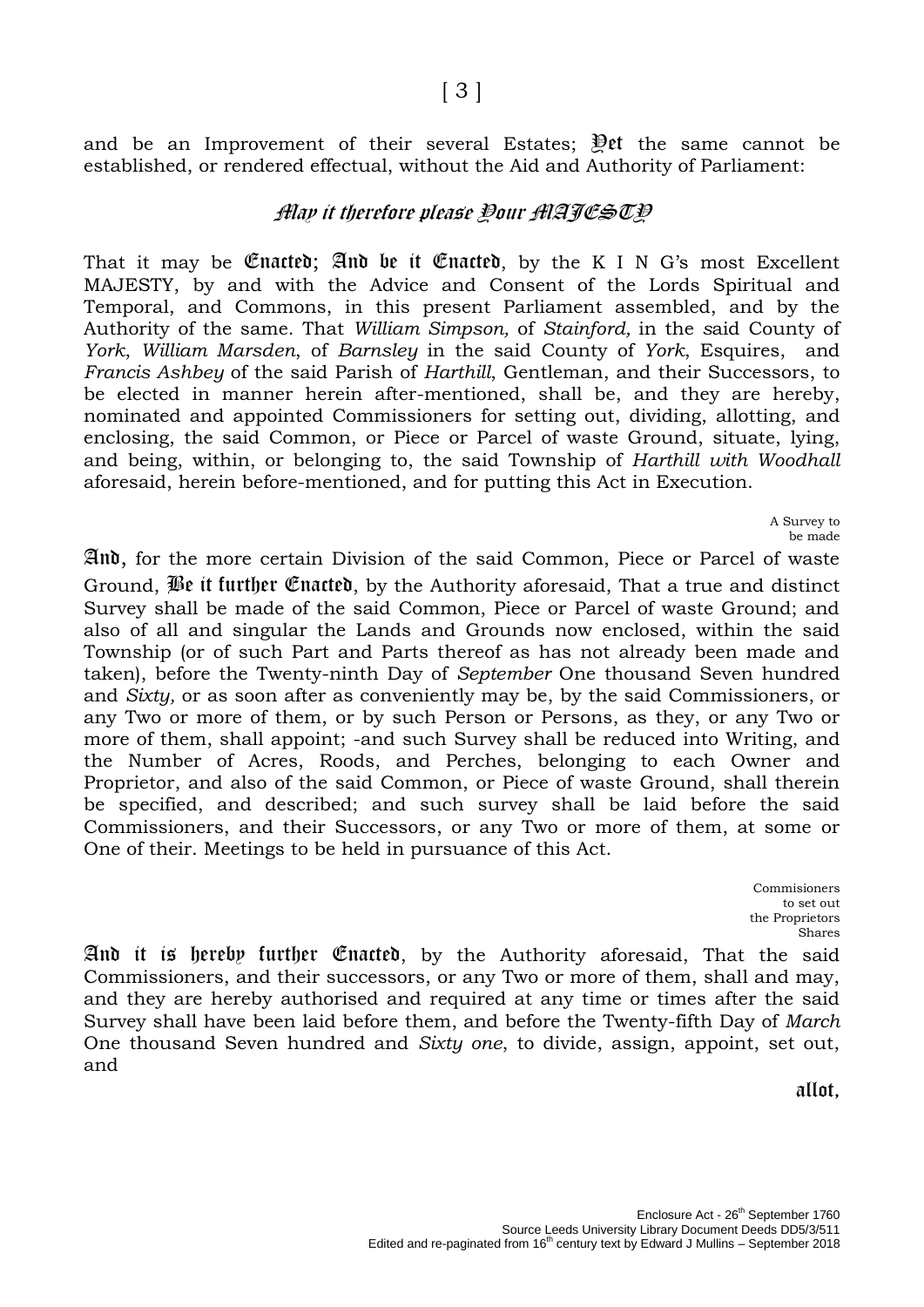and be an Improvement of their several Estates;  $\mathbb{P}$ et the same cannot be established, or rendered effectual, without the Aid and Authority of Parliament:

## Alay it therefore please Pour AlATESTP

That it may be **Enacted**; And be it **Enacted**, by the K I N G's most Excellent MAJESTY, by and with the Advice and Consent of the Lords Spiritual and Temporal, and Commons, in this present Parliament assembled, and by the Authority of the same. That *William Simpson,* of *Stainford,* in the *s*aid County of *York*, *William Marsden*, of *Barnsley* in the said County of *York*, Esquires, and *Francis Ashbey* of the said Parish of *Harthill*, Gentleman, and their Successors, to be elected in manner herein after-mentioned, shall be, and they are hereby, nominated and appointed Commissioners for setting out, dividing, allotting, and enclosing, the said Common, or Piece or Parcel of waste Ground, situate, lying, and being, within, or belonging to, the said Township of *Harthill with Woodhall* aforesaid, herein before-mentioned, and for putting this Act in Execution.

> A Survey to be made

And, for the more certain Division of the said Common, Piece or Parcel of waste Ground, Be it further Enacted, by the Authority aforesaid, That a true and distinct Survey shall be made of the said Common, Piece or Parcel of waste Ground; and also of all and singular the Lands and Grounds now enclosed, within the said Township (or of such Part and Parts thereof as has not already been made and taken), before the Twenty-ninth Day of *September* One thousand Seven hundred and *Sixty,* or as soon after as conveniently may be, by the said Commissioners, or any Two or more of them, or by such Person or Persons, as they, or any Two or more of them, shall appoint; -and such Survey shall be reduced into Writing, and the Number of Acres, Roods, and Perches, belonging to each Owner and Proprietor, and also of the said Common, or Piece of waste Ground, shall therein be specified, and described; and such survey shall be laid before the said Commissioners, and their Successors, or any Two or more of them, at some or One of their. Meetings to be held in pursuance of this Act.

> Commisioners to set out the Proprietors Shares

And it is hereby further Enacted, by the Authority aforesaid, That the said Commissioners, and their successors, or any Two or more of them, shall and may, and they are hereby authorised and required at any time or times after the said Survey shall have been laid before them, and before the Twenty-fifth Day of *March* One thousand Seven hundred and *Sixty one*, to divide, assign, appoint, set out, and

allot,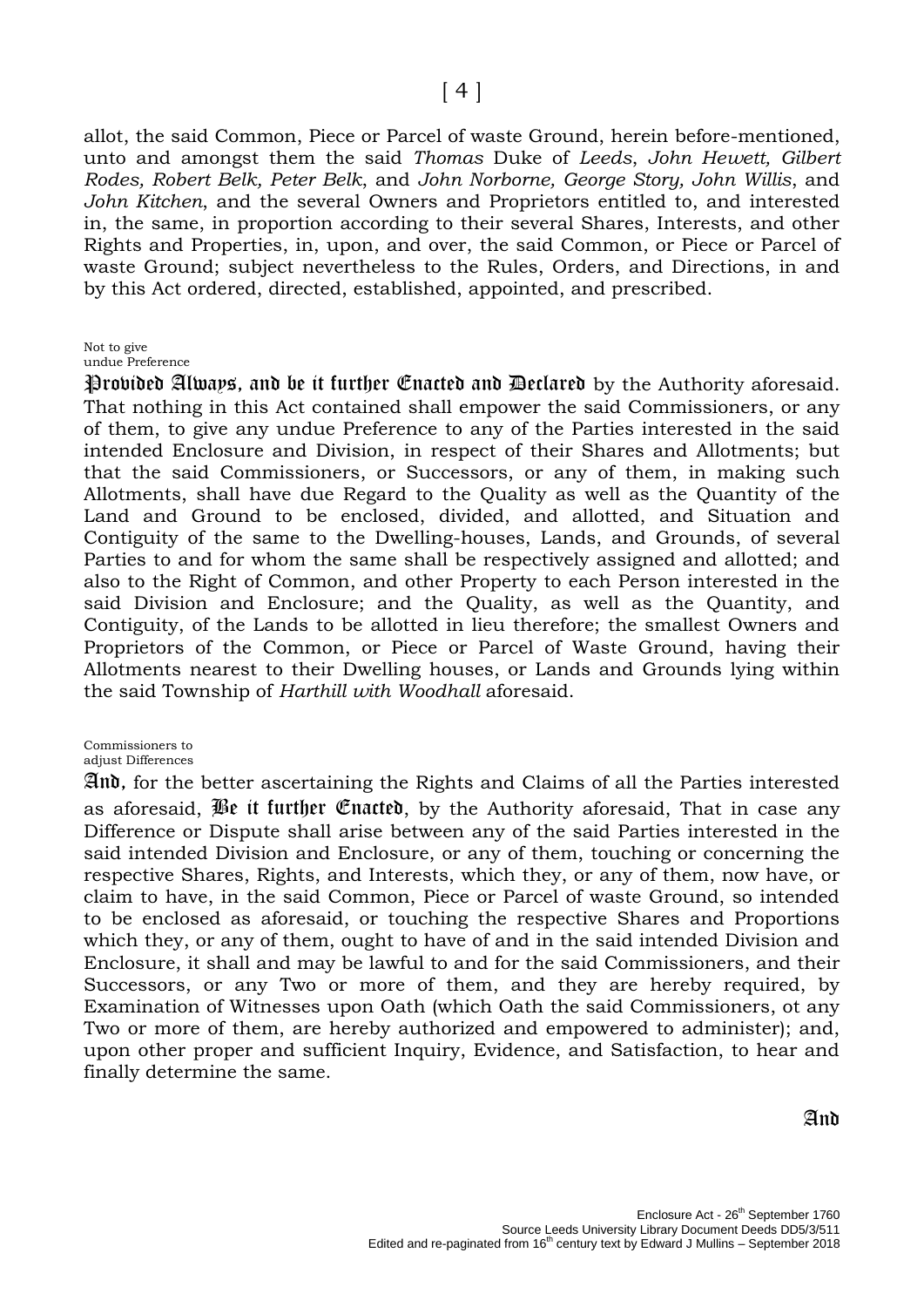allot, the said Common, Piece or Parcel of waste Ground, herein before-mentioned, unto and amongst them the said *Thomas* Duke of *Leeds*, *John Hewett, Gilbert Rodes, Robert Belk, Peter Belk*, and *John Norborne, George Story, John Willis*, and *John Kitchen*, and the several Owners and Proprietors entitled to, and interested in, the same, in proportion according to their several Shares, Interests, and other Rights and Properties, in, upon, and over, the said Common, or Piece or Parcel of waste Ground; subject nevertheless to the Rules, Orders, and Directions, in and by this Act ordered, directed, established, appointed, and prescribed.

#### Not to give

undue Preference

Provided Always, and be it further Enacted and Declared by the Authority aforesaid. That nothing in this Act contained shall empower the said Commissioners, or any of them, to give any undue Preference to any of the Parties interested in the said intended Enclosure and Division, in respect of their Shares and Allotments; but that the said Commissioners, or Successors, or any of them, in making such Allotments, shall have due Regard to the Quality as well as the Quantity of the Land and Ground to be enclosed, divided, and allotted, and Situation and Contiguity of the same to the Dwelling-houses, Lands, and Grounds, of several Parties to and for whom the same shall be respectively assigned and allotted; and also to the Right of Common, and other Property to each Person interested in the said Division and Enclosure; and the Quality, as well as the Quantity, and Contiguity, of the Lands to be allotted in lieu therefore; the smallest Owners and Proprietors of the Common, or Piece or Parcel of Waste Ground, having their Allotments nearest to their Dwelling houses, or Lands and Grounds lying within the said Township of *Harthill with Woodhall* aforesaid.

Commissioners to

adjust Differences

And, for the better ascertaining the Rights and Claims of all the Parties interested as aforesaid, Be it further Enacted, by the Authority aforesaid, That in case any Difference or Dispute shall arise between any of the said Parties interested in the said intended Division and Enclosure, or any of them, touching or concerning the respective Shares, Rights, and Interests, which they, or any of them, now have, or claim to have, in the said Common, Piece or Parcel of waste Ground, so intended to be enclosed as aforesaid, or touching the respective Shares and Proportions which they, or any of them, ought to have of and in the said intended Division and Enclosure, it shall and may be lawful to and for the said Commissioners, and their Successors, or any Two or more of them, and they are hereby required, by Examination of Witnesses upon Oath (which Oath the said Commissioners, ot any Two or more of them, are hereby authorized and empowered to administer); and, upon other proper and sufficient Inquiry, Evidence, and Satisfaction, to hear and finally determine the same.

And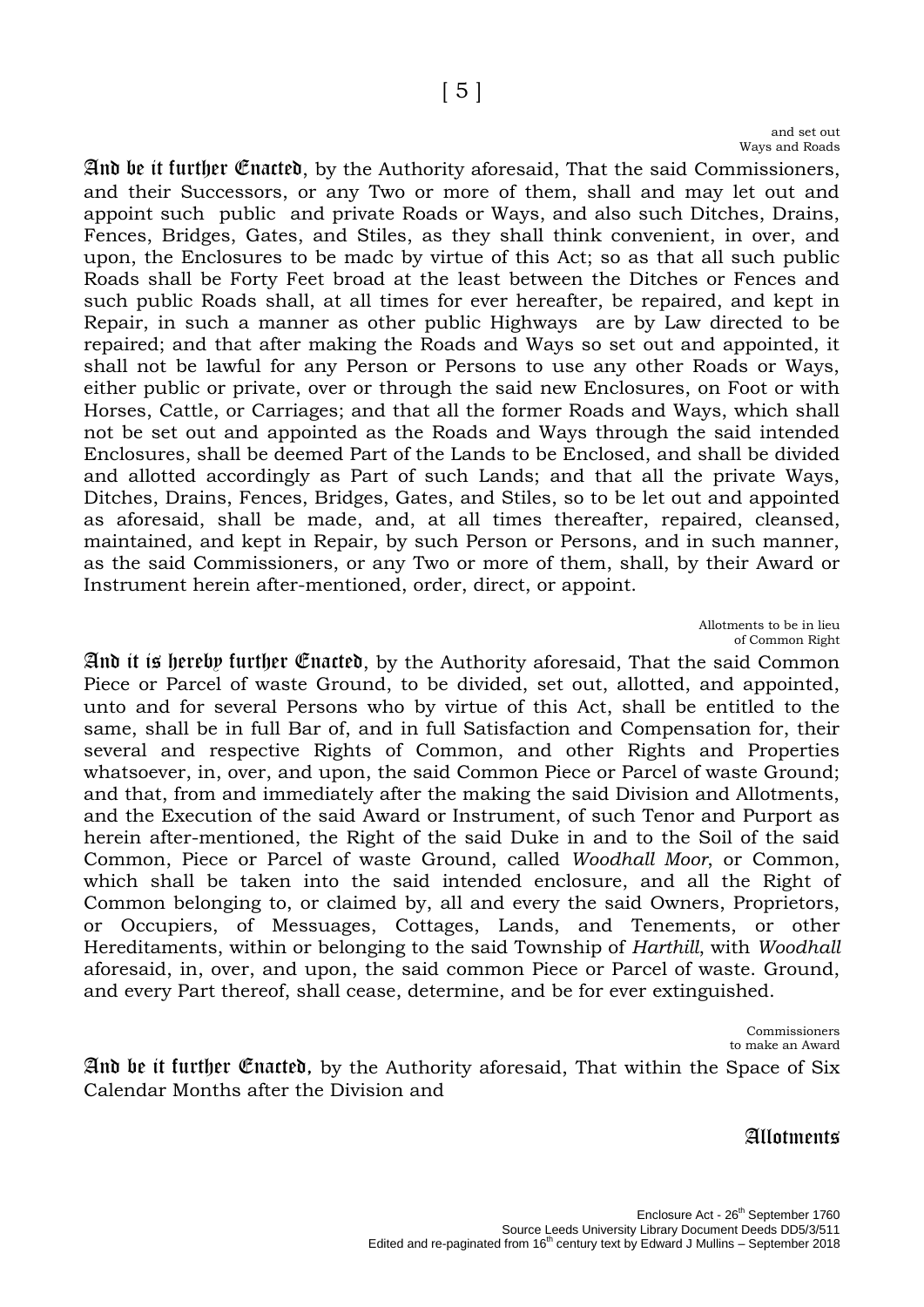#### and set out Ways and Roads

And be it further Enacted, by the Authority aforesaid, That the said Commissioners, and their Successors, or any Two or more of them, shall and may let out and appoint such public and private Roads or Ways, and also such Ditches, Drains, Fences, Bridges, Gates, and Stiles, as they shall think convenient, in over, and upon, the Enclosures to be madc by virtue of this Act; so as that all such public Roads shall be Forty Feet broad at the least between the Ditches or Fences and such public Roads shall, at all times for ever hereafter, be repaired, and kept in Repair, in such a manner as other public Highways are by Law directed to be repaired; and that after making the Roads and Ways so set out and appointed, it shall not be lawful for any Person or Persons to use any other Roads or Ways, either public or private, over or through the said new Enclosures, on Foot or with Horses, Cattle, or Carriages; and that all the former Roads and Ways, which shall not be set out and appointed as the Roads and Ways through the said intended Enclosures, shall be deemed Part of the Lands to be Enclosed, and shall be divided and allotted accordingly as Part of such Lands; and that all the private Ways, Ditches, Drains, Fences, Bridges, Gates, and Stiles, so to be let out and appointed as aforesaid, shall be made, and, at all times thereafter, repaired, cleansed, maintained, and kept in Repair, by such Person or Persons, and in such manner, as the said Commissioners, or any Two or more of them, shall, by their Award or Instrument herein after-mentioned, order, direct, or appoint.

> Allotments to be in lieu of Common Right

And it is hereby further Enacted, by the Authority aforesaid, That the said Common Piece or Parcel of waste Ground, to be divided, set out, allotted, and appointed, unto and for several Persons who by virtue of this Act, shall be entitled to the same, shall be in full Bar of, and in full Satisfaction and Compensation for, their several and respective Rights of Common, and other Rights and Properties whatsoever, in, over, and upon, the said Common Piece or Parcel of waste Ground; and that, from and immediately after the making the said Division and Allotments, and the Execution of the said Award or Instrument, of such Tenor and Purport as herein after-mentioned, the Right of the said Duke in and to the Soil of the said Common, Piece or Parcel of waste Ground, called *Woodhall Moor*, or Common, which shall be taken into the said intended enclosure, and all the Right of Common belonging to, or claimed by, all and every the said Owners, Proprietors, or Occupiers, of Messuages, Cottages, Lands, and Tenements, or other Hereditaments, within or belonging to the said Township of *Harthill*, with *Woodhall* aforesaid, in, over, and upon, the said common Piece or Parcel of waste. Ground, and every Part thereof, shall cease, determine, and be for ever extinguished.

> Commissioners to make an Award

And be it further Enacted, by the Authority aforesaid, That within the Space of Six Calendar Months after the Division and

## **Allotments**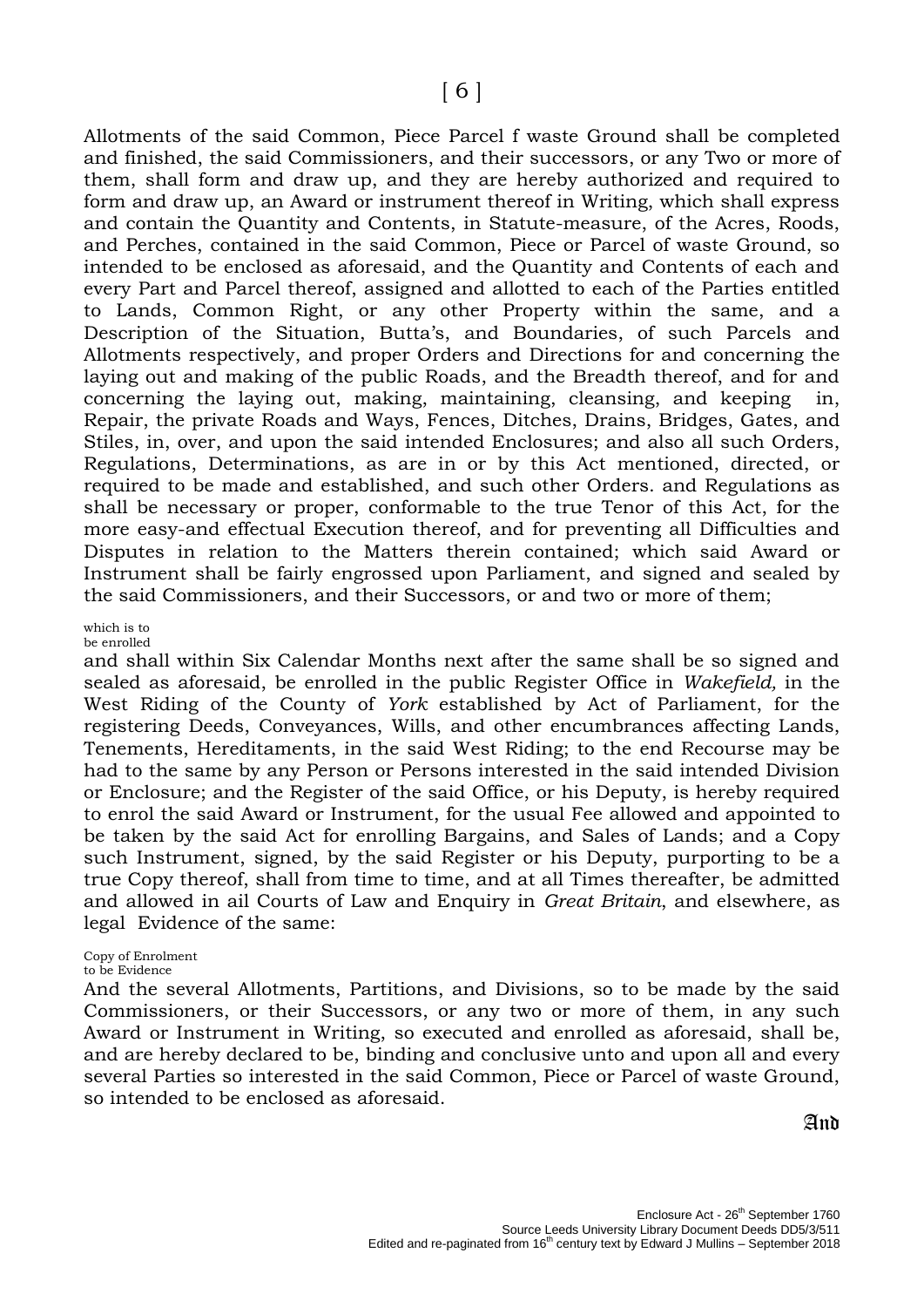Allotments of the said Common, Piece Parcel f waste Ground shall be completed and finished, the said Commissioners, and their successors, or any Two or more of them, shall form and draw up, and they are hereby authorized and required to form and draw up, an Award or instrument thereof in Writing, which shall express and contain the Quantity and Contents, in Statute-measure, of the Acres, Roods, and Perches, contained in the said Common, Piece or Parcel of waste Ground, so intended to be enclosed as aforesaid, and the Quantity and Contents of each and every Part and Parcel thereof, assigned and allotted to each of the Parties entitled to Lands, Common Right, or any other Property within the same, and a Description of the Situation, Butta's, and Boundaries, of such Parcels and Allotments respectively, and proper Orders and Directions for and concerning the laying out and making of the public Roads, and the Breadth thereof, and for and concerning the laying out, making, maintaining, cleansing, and keeping in, Repair, the private Roads and Ways, Fences, Ditches, Drains, Bridges, Gates, and Stiles, in, over, and upon the said intended Enclosures; and also all such Orders, Regulations, Determinations, as are in or by this Act mentioned, directed, or required to be made and established, and such other Orders. and Regulations as shall be necessary or proper, conformable to the true Tenor of this Act, for the more easy-and effectual Execution thereof, and for preventing all Difficulties and Disputes in relation to the Matters therein contained; which said Award or Instrument shall be fairly engrossed upon Parliament, and signed and sealed by the said Commissioners, and their Successors, or and two or more of them;

#### which is to be enrolled

and shall within Six Calendar Months next after the same shall be so signed and sealed as aforesaid, be enrolled in the public Register Office in *Wakefield,* in the West Riding of the County of *York* established by Act of Parliament, for the registering Deeds, Conveyances, Wills, and other encumbrances affecting Lands, Tenements, Hereditaments, in the said West Riding; to the end Recourse may be had to the same by any Person or Persons interested in the said intended Division or Enclosure; and the Register of the said Office, or his Deputy, is hereby required to enrol the said Award or Instrument, for the usual Fee allowed and appointed to be taken by the said Act for enrolling Bargains, and Sales of Lands; and a Copy such Instrument, signed, by the said Register or his Deputy, purporting to be a true Copy thereof, shall from time to time, and at all Times thereafter, be admitted and allowed in ail Courts of Law and Enquiry in *Great Britain*, and elsewhere, as legal Evidence of the same:

## Copy of Enrolment

#### to be Evidence

And the several Allotments, Partitions, and Divisions, so to be made by the said Commissioners, or their Successors, or any two or more of them, in any such Award or Instrument in Writing, so executed and enrolled as aforesaid, shall be, and are hereby declared to be, binding and conclusive unto and upon all and every several Parties so interested in the said Common, Piece or Parcel of waste Ground, so intended to be enclosed as aforesaid.

And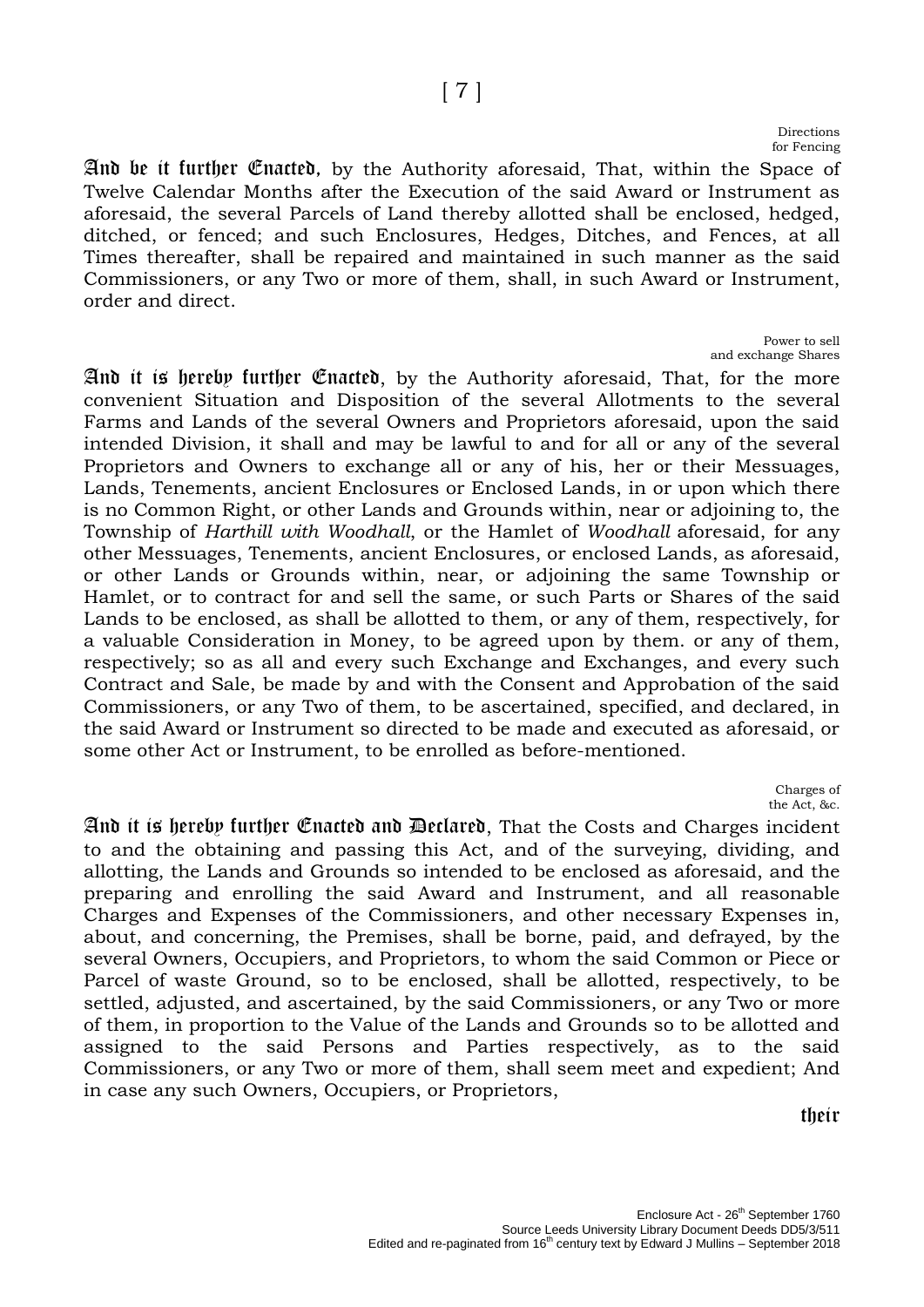#### Directions for Fencing

And be it further Enacted, by the Authority aforesaid, That, within the Space of Twelve Calendar Months after the Execution of the said Award or Instrument as aforesaid, the several Parcels of Land thereby allotted shall be enclosed, hedged, ditched, or fenced; and such Enclosures, Hedges, Ditches, and Fences, at all Times thereafter, shall be repaired and maintained in such manner as the said Commissioners, or any Two or more of them, shall, in such Award or Instrument, order and direct.

> Power to sell and exchange Shares

And it is hereby further Enacted, by the Authority aforesaid, That, for the more convenient Situation and Disposition of the several Allotments to the several Farms and Lands of the several Owners and Proprietors aforesaid, upon the said intended Division, it shall and may be lawful to and for all or any of the several Proprietors and Owners to exchange all or any of his, her or their Messuages, Lands, Tenements, ancient Enclosures or Enclosed Lands, in or upon which there is no Common Right, or other Lands and Grounds within, near or adjoining to, the Township of *Harthill with Woodhall*, or the Hamlet of *Woodhall* aforesaid, for any other Messuages, Tenements, ancient Enclosures, or enclosed Lands, as aforesaid, or other Lands or Grounds within, near, or adjoining the same Township or Hamlet, or to contract for and sell the same, or such Parts or Shares of the said Lands to be enclosed, as shall be allotted to them, or any of them, respectively, for a valuable Consideration in Money, to be agreed upon by them. or any of them, respectively; so as all and every such Exchange and Exchanges, and every such Contract and Sale, be made by and with the Consent and Approbation of the said Commissioners, or any Two of them, to be ascertained, specified, and declared, in the said Award or Instrument so directed to be made and executed as aforesaid, or some other Act or Instrument, to be enrolled as before-mentioned.

> Charges of the Act, &c.

And it is hereby further Enacted and Declared, That the Costs and Charges incident to and the obtaining and passing this Act, and of the surveying, dividing, and allotting, the Lands and Grounds so intended to be enclosed as aforesaid, and the preparing and enrolling the said Award and Instrument, and all reasonable Charges and Expenses of the Commissioners, and other necessary Expenses in, about, and concerning, the Premises, shall be borne, paid, and defrayed, by the several Owners, Occupiers, and Proprietors, to whom the said Common or Piece or Parcel of waste Ground, so to be enclosed, shall be allotted, respectively, to be settled, adjusted, and ascertained, by the said Commissioners, or any Two or more of them, in proportion to the Value of the Lands and Grounds so to be allotted and assigned to the said Persons and Parties respectively, as to the said Commissioners, or any Two or more of them, shall seem meet and expedient; And in case any such Owners, Occupiers, or Proprietors,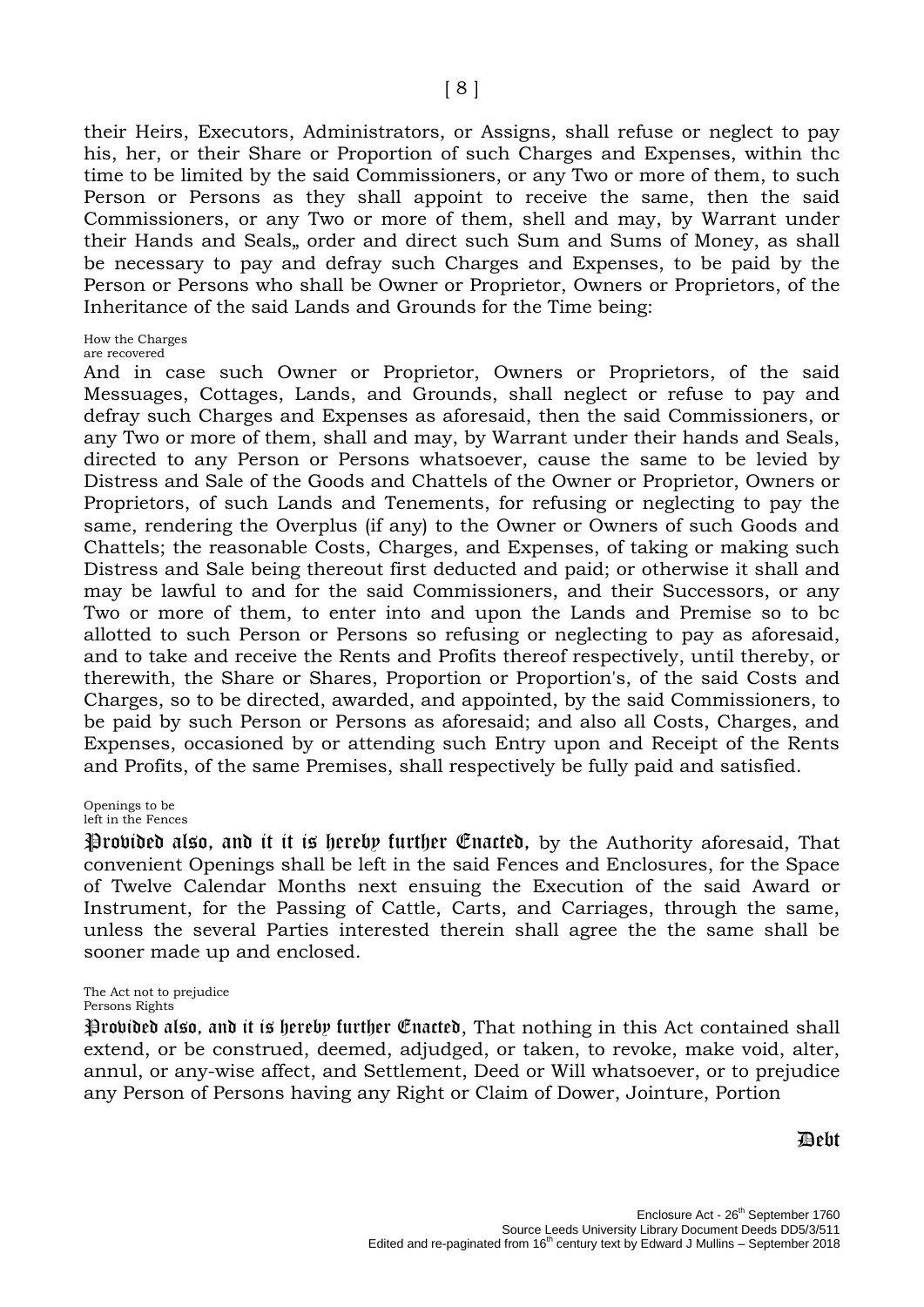their Heirs, Executors, Administrators, or Assigns, shall refuse or neglect to pay his, her, or their Share or Proportion of such Charges and Expenses, within thc time to be limited by the said Commissioners, or any Two or more of them, to such Person or Persons as they shall appoint to receive the same, then the said Commissioners, or any Two or more of them, shell and may, by Warrant under their Hands and Seals, order and direct such Sum and Sums of Money, as shall be necessary to pay and defray such Charges and Expenses, to be paid by the Person or Persons who shall be Owner or Proprietor, Owners or Proprietors, of the Inheritance of the said Lands and Grounds for the Time being:

#### How the Charges

are recovered

And in case such Owner or Proprietor, Owners or Proprietors, of the said Messuages, Cottages, Lands, and Grounds, shall neglect or refuse to pay and defray such Charges and Expenses as aforesaid, then the said Commissioners, or any Two or more of them, shall and may, by Warrant under their hands and Seals, directed to any Person or Persons whatsoever, cause the same to be levied by Distress and Sale of the Goods and Chattels of the Owner or Proprietor, Owners or Proprietors, of such Lands and Tenements, for refusing or neglecting to pay the same, rendering the Overplus (if any) to the Owner or Owners of such Goods and Chattels; the reasonable Costs, Charges, and Expenses, of taking or making such Distress and Sale being thereout first deducted and paid; or otherwise it shall and may be lawful to and for the said Commissioners, and their Successors, or any Two or more of them, to enter into and upon the Lands and Premise so to bc allotted to such Person or Persons so refusing or neglecting to pay as aforesaid, and to take and receive the Rents and Profits thereof respectively, until thereby, or therewith, the Share or Shares, Proportion or Proportion's, of the said Costs and Charges, so to be directed, awarded, and appointed, by the said Commissioners, to be paid by such Person or Persons as aforesaid; and also all Costs, Charges, and Expenses, occasioned by or attending such Entry upon and Receipt of the Rents and Profits, of the same Premises, shall respectively be fully paid and satisfied.

#### Openings to be left in the Fences

Provided also, and it it is hereby further Enacted, by the Authority aforesaid, That convenient Openings shall be left in the said Fences and Enclosures, for the Space of Twelve Calendar Months next ensuing the Execution of the said Award or Instrument, for the Passing of Cattle, Carts, and Carriages, through the same, unless the several Parties interested therein shall agree the the same shall be sooner made up and enclosed.

The Act not to prejudice Persons Rights

Provided also, and it is hereby further Enacted, That nothing in this Act contained shall extend, or be construed, deemed, adjudged, or taken, to revoke, make void, alter, annul, or any-wise affect, and Settlement, Deed or Will whatsoever, or to prejudice any Person of Persons having any Right or Claim of Dower, Jointure, Portion

### **Debt**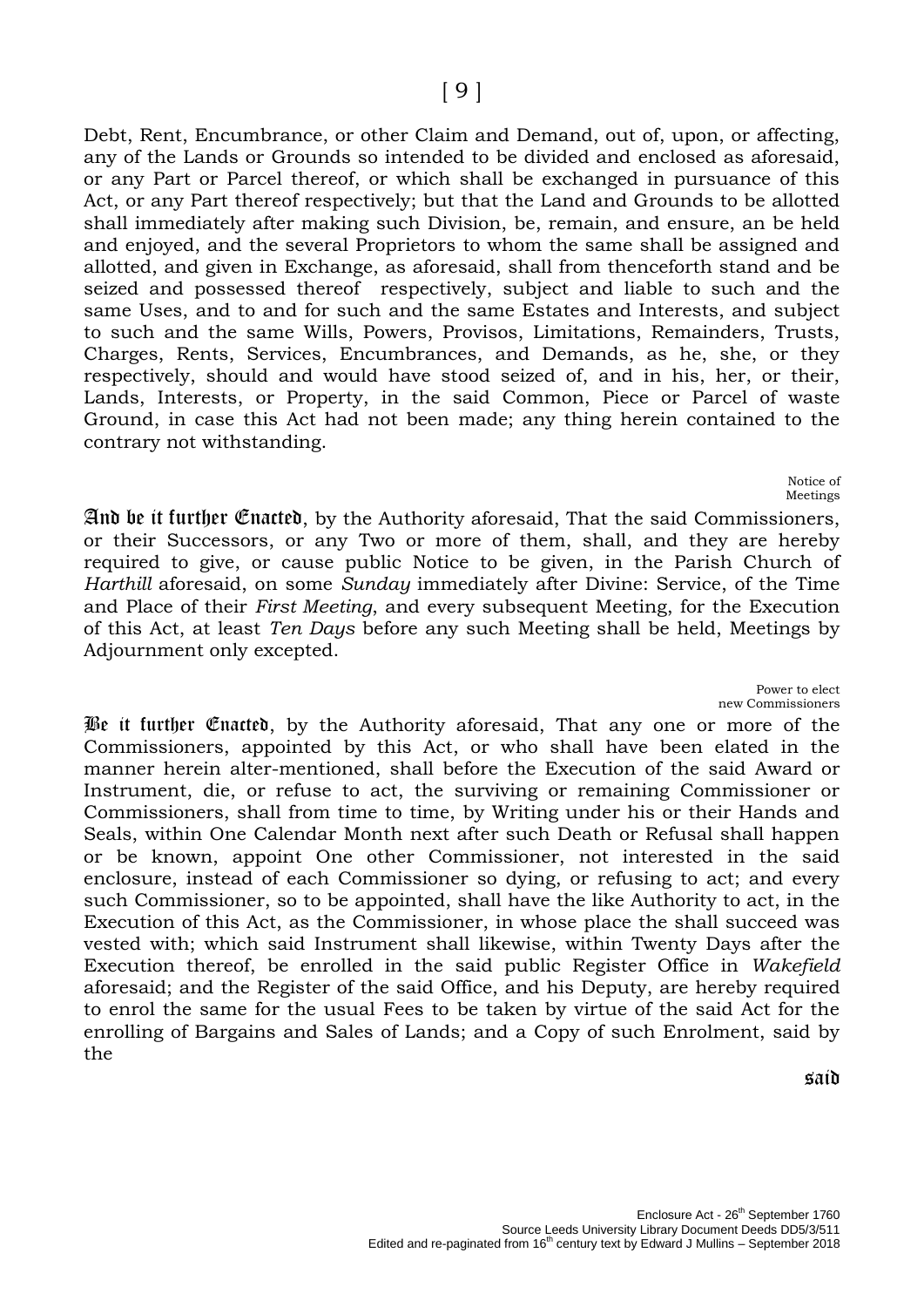Debt, Rent, Encumbrance, or other Claim and Demand, out of, upon, or affecting, any of the Lands or Grounds so intended to be divided and enclosed as aforesaid, or any Part or Parcel thereof, or which shall be exchanged in pursuance of this Act, or any Part thereof respectively; but that the Land and Grounds to be allotted shall immediately after making such Division, be, remain, and ensure, an be held and enjoyed, and the several Proprietors to whom the same shall be assigned and allotted, and given in Exchange, as aforesaid, shall from thenceforth stand and be seized and possessed thereof respectively, subject and liable to such and the same Uses, and to and for such and the same Estates and Interests, and subject to such and the same Wills, Powers, Provisos, Limitations, Remainders, Trusts, Charges, Rents, Services, Encumbrances, and Demands, as he, she, or they respectively, should and would have stood seized of, and in his, her, or their, Lands, Interests, or Property, in the said Common, Piece or Parcel of waste Ground, in case this Act had not been made; any thing herein contained to the contrary not withstanding.

> Notice of Meetings

And be it further Enacted, by the Authority aforesaid, That the said Commissioners, or their Successors, or any Two or more of them, shall, and they are hereby required to give, or cause public Notice to be given, in the Parish Church of *Harthill* aforesaid, on some *Sunday* immediately after Divine: Service, of the Time and Place of their *First Meeting*, and every subsequent Meeting, for the Execution of this Act, at least *Ten Days* before any such Meeting shall be held, Meetings by Adjournment only excepted.

> Power to elect new Commissioners

Be it further Enacted, by the Authority aforesaid, That any one or more of the Commissioners, appointed by this Act, or who shall have been elated in the manner herein alter-mentioned, shall before the Execution of the said Award or Instrument, die, or refuse to act, the surviving or remaining Commissioner or Commissioners, shall from time to time, by Writing under his or their Hands and Seals, within One Calendar Month next after such Death or Refusal shall happen or be known, appoint One other Commissioner, not interested in the said enclosure, instead of each Commissioner so dying, or refusing to act; and every such Commissioner, so to be appointed, shall have the like Authority to act, in the Execution of this Act, as the Commissioner, in whose place the shall succeed was vested with; which said Instrument shall likewise, within Twenty Days after the Execution thereof, be enrolled in the said public Register Office in *Wakefield* aforesaid; and the Register of the said Office, and his Deputy, are hereby required to enrol the same for the usual Fees to be taken by virtue of the said Act for the enrolling of Bargains and Sales of Lands; and a Copy of such Enrolment, said by the

said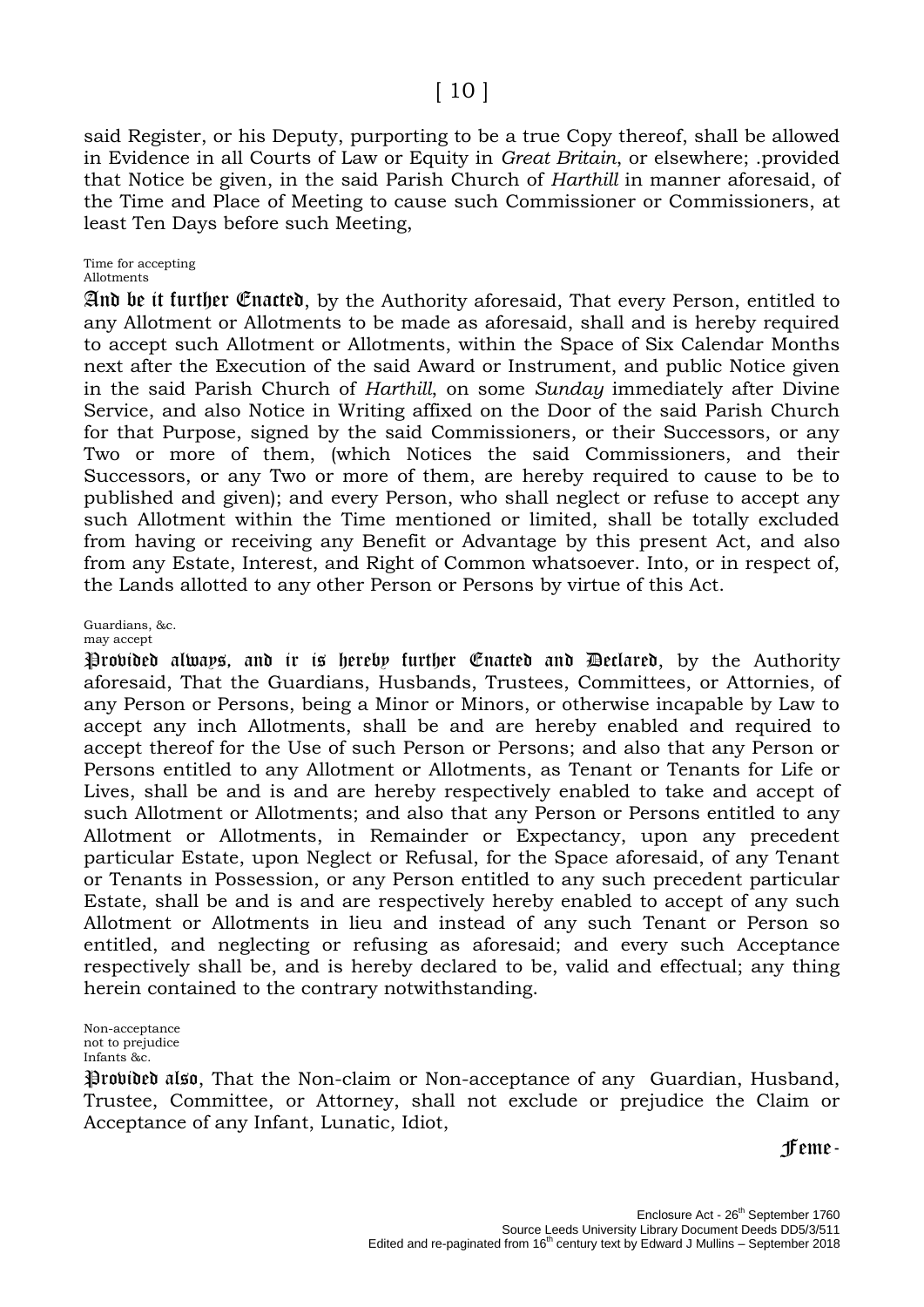## [ 10 ]

said Register, or his Deputy, purporting to be a true Copy thereof, shall be allowed in Evidence in all Courts of Law or Equity in *Great Britain*, or elsewhere; .provided that Notice be given, in the said Parish Church of *Harthill* in manner aforesaid, of the Time and Place of Meeting to cause such Commissioner or Commissioners, at least Ten Days before such Meeting,

## Time for accepting

Allotments

And be it further Enacted, by the Authority aforesaid, That every Person, entitled to any Allotment or Allotments to be made as aforesaid, shall and is hereby required to accept such Allotment or Allotments, within the Space of Six Calendar Months next after the Execution of the said Award or Instrument, and public Notice given in the said Parish Church of *Harthill*, on some *Sunday* immediately after Divine Service, and also Notice in Writing affixed on the Door of the said Parish Church for that Purpose, signed by the said Commissioners, or their Successors, or any Two or more of them, (which Notices the said Commissioners, and their Successors, or any Two or more of them, are hereby required to cause to be to published and given); and every Person, who shall neglect or refuse to accept any such Allotment within the Time mentioned or limited, shall be totally excluded from having or receiving any Benefit or Advantage by this present Act, and also from any Estate, Interest, and Right of Common whatsoever. Into, or in respect of, the Lands allotted to any other Person or Persons by virtue of this Act.

## Guardians, &c.

may accept Provided always, and it is hereby further Enacted and Declared, by the Authority aforesaid, That the Guardians, Husbands, Trustees, Committees, or Attornies, of any Person or Persons, being a Minor or Minors, or otherwise incapable by Law to accept any inch Allotments, shall be and are hereby enabled and required to accept thereof for the Use of such Person or Persons; and also that any Person or Persons entitled to any Allotment or Allotments, as Tenant or Tenants for Life or Lives, shall be and is and are hereby respectively enabled to take and accept of such Allotment or Allotments; and also that any Person or Persons entitled to any Allotment or Allotments, in Remainder or Expectancy, upon any precedent particular Estate, upon Neglect or Refusal, for the Space aforesaid, of any Tenant or Tenants in Possession, or any Person entitled to any such precedent particular Estate, shall be and is and are respectively hereby enabled to accept of any such Allotment or Allotments in lieu and instead of any such Tenant or Person so entitled, and neglecting or refusing as aforesaid; and every such Acceptance respectively shall be, and is hereby declared to be, valid and effectual; any thing

herein contained to the contrary notwithstanding.

Non-acceptance not to prejudice Infants &c.

Provided also, That the Non-claim or Non-acceptance of any Guardian, Husband, Trustee, Committee, or Attorney, shall not exclude or prejudice the Claim or Acceptance of any Infant, Lunatic, Idiot,

Feme-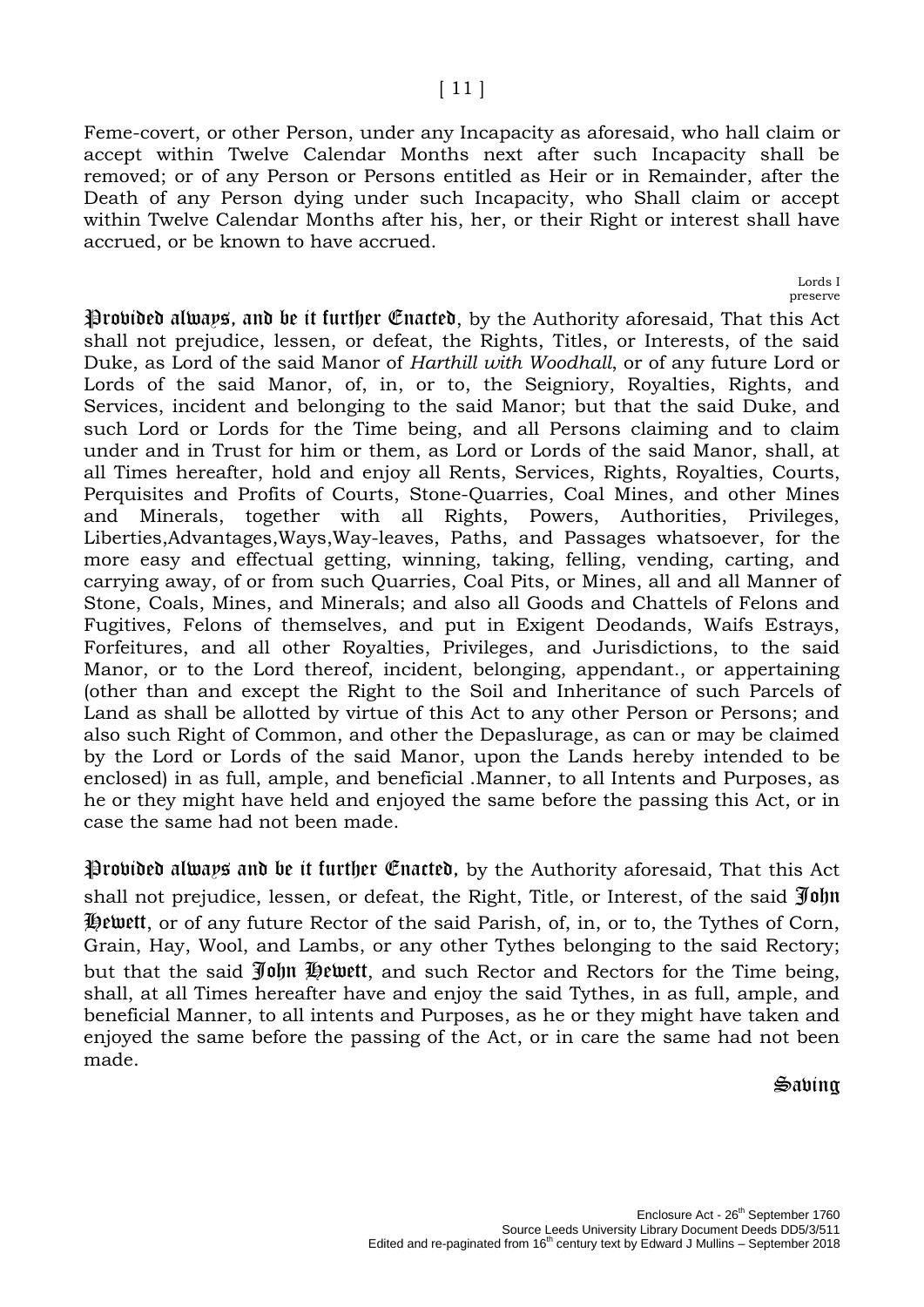Feme-covert, or other Person, under any Incapacity as aforesaid, who hall claim or accept within Twelve Calendar Months next after such Incapacity shall be removed; or of any Person or Persons entitled as Heir or in Remainder, after the Death of any Person dying under such Incapacity, who Shall claim or accept within Twelve Calendar Months after his, her, or their Right or interest shall have accrued, or be known to have accrued.

> Lords I preserve

Provided always, and be it further Enacted, by the Authority aforesaid, That this Act shall not prejudice, lessen, or defeat, the Rights, Titles, or Interests, of the said Duke, as Lord of the said Manor of *Harthill with Woodhall*, or of any future Lord or Lords of the said Manor, of, in, or to, the Seigniory, Royalties, Rights, and Services, incident and belonging to the said Manor; but that the said Duke, and such Lord or Lords for the Time being, and all Persons claiming and to claim under and in Trust for him or them, as Lord or Lords of the said Manor, shall, at all Times hereafter, hold and enjoy all Rents, Services, Rights, Royalties, Courts, Perquisites and Profits of Courts, Stone-Quarries, Coal Mines, and other Mines and Minerals, together with all Rights, Powers, Authorities, Privileges, Liberties,Advantages,Ways,Way-leaves, Paths, and Passages whatsoever, for the more easy and effectual getting, winning, taking, felling, vending, carting, and carrying away, of or from such Quarries, Coal Pits, or Mines, all and all Manner of Stone, Coals, Mines, and Minerals; and also all Goods and Chattels of Felons and Fugitives, Felons of themselves, and put in Exigent Deodands, Waifs Estrays, Forfeitures, and all other Royalties, Privileges, and Jurisdictions, to the said Manor, or to the Lord thereof, incident, belonging, appendant., or appertaining (other than and except the Right to the Soil and Inheritance of such Parcels of Land as shall be allotted by virtue of this Act to any other Person or Persons; and also such Right of Common, and other the Depaslurage, as can or may be claimed by the Lord or Lords of the said Manor, upon the Lands hereby intended to be enclosed) in as full, ample, and beneficial .Manner, to all Intents and Purposes, as he or they might have held and enjoyed the same before the passing this Act, or in case the same had not been made.

Provided always and be it further Enacted, by the Authority aforesaid, That this Act shall not prejudice, lessen, or defeat, the Right, Title, or Interest, of the said John Hewett, or of any future Rector of the said Parish, of, in, or to, the Tythes of Corn, Grain, Hay, Wool, and Lambs, or any other Tythes belonging to the said Rectory; but that the said John Hewett, and such Rector and Rectors for the Time being, shall, at all Times hereafter have and enjoy the said Tythes, in as full, ample, and beneficial Manner, to all intents and Purposes, as he or they might have taken and enjoyed the same before the passing of the Act, or in care the same had not been made.

## $\sin$ abina